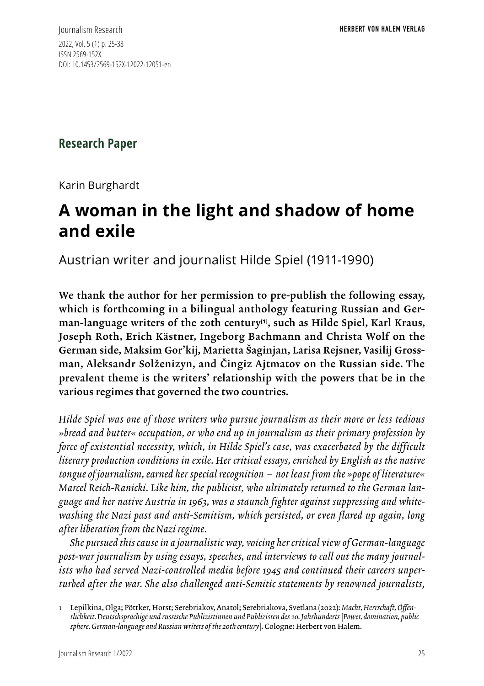Journalism Research 2022, Vol. 5 (1) p. 25-38 ISSN 2569-152X DOI: 10.1453/2569-152X-12022-12051-en

**Research Paper**

Karin Burghardt

# **A woman in the light and shadow of home and exile**

Austrian writer and journalist Hilde Spiel (1911-1990)

We thank the author for her permission to pre-publish the following essay, which is forthcoming in a bilingual anthology featuring Russian and German-language writers of the 20th century**[1]**, such as Hilde Spiel, Karl Kraus, Joseph Roth, Erich Kästner, Ingeborg Bachmann and Christa Wolf on the German side, Maksim Gor'kij, Marietta Šaginjan, Larisa Rejsner, Vasilij Grossman, Aleksandr Solženizyn, and Čingiz Ajtmatov on the Russian side. The prevalent theme is the writers' relationship with the powers that be in the various regimes that governed the two countries.

*Hilde Spiel was one of those writers who pursue journalism as their more or less tedious »bread and butter« occupation, or who end up in journalism as their primary profession by force of existential necessity, which, in Hilde Spiel's case, was exacerbated by the difficult literary production conditions in exile. Her critical essays, enriched by English as the native tongue of journalism, earned her special recognition – not least from the »pope of literature« Marcel Reich-Ranicki. Like him, the publicist, who ultimately returned to the German language and her native Austria in 1963, was a staunch fighter against suppressing and whitewashing the Nazi past and anti-Semitism, which persisted, or even flared up again, long after liberation from the Nazi regime.* 

*She pursued this cause in a journalistic way, voicing her critical view of German-language post-war journalism by using essays, speeches, and interviews to call out the many journalists who had served Nazi-controlled media before 1945 and continued their careers unperturbed after the war. She also challenged anti-Semitic statements by renowned journalists,* 

<sup>1</sup> Lepilkina, Olga; Pöttker, Horst; Serebriakov, Anatol; Serebriakova, Svetlana (2022): *Macht, Herrschaft, Öffentlichkeit. Deutschsprachige und russische Publizistinnen und Publizisten des 20. Jahrhunderts* [*Power, domination, public sphere. German-language and Russian writers of the 20th century*]. Cologne: Herbert von Halem.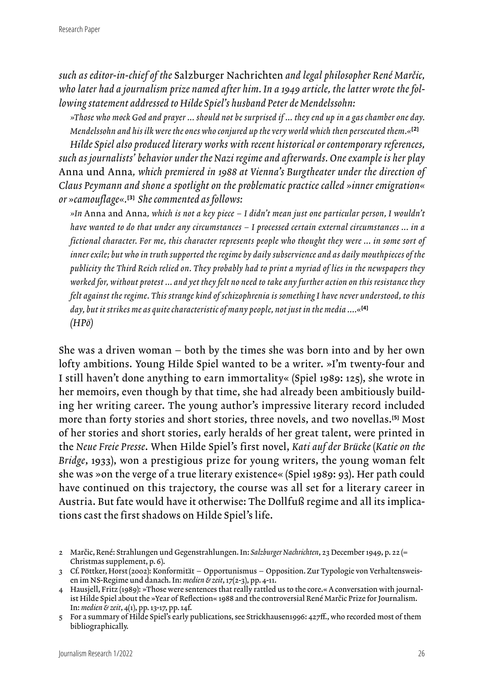*such as editor-in-chief of the* Salzburger Nachrichten *and legal philosopher René Marčic, who later had a journalism prize named after him. In a 1949 article, the latter wrote the following statement addressed to Hilde Spiel's husband Peter de Mendelssohn:* 

*»Those who mock God and prayer ... should not be surprised if ... they end up in a gas chamber one day. Mendelssohn and his ilk were the ones who conjured up the very world which then persecuted them.«***[2]**

*Hilde Spiel also produced literary works with recent historical or contemporary references, such as journalists' behavior under the Nazi regime and afterwards. One example is her play*  Anna und Anna*, which premiered in 1988 at Vienna's Burgtheater under the direction of Claus Peymann and shone a spotlight on the problematic practice called »inner emigration« or »camouflage«.***[3]** *She commented as follows:* 

*»In* Anna and Anna*, which is not a key piece – I didn't mean just one particular person, I wouldn't have wanted to do that under any circumstances – I processed certain external circumstances ... in a fictional character. For me, this character represents people who thought they were ... in some sort of inner exile; but who in truth supported the regime by daily subservience and as daily mouthpieces of the publicity the Third Reich relied on. They probably had to print a myriad of lies in the newspapers they worked for, without protest ... and yet they felt no need to take any further action on this resistance they felt against the regime. This strange kind of schizophrenia is something I have never understood, to this day, but it strikes me as quite characteristic of many people, not just in the media ....«***[4]** *(HPö)*

She was a driven woman – both by the times she was born into and by her own lofty ambitions. Young Hilde Spiel wanted to be a writer. »I'm twenty-four and I still haven't done anything to earn immortality« (Spiel 1989: 125), she wrote in her memoirs, even though by that time, she had already been ambitiously building her writing career. The young author's impressive literary record included more than forty stories and short stories, three novels, and two novellas.**[5]** Most of her stories and short stories, early heralds of her great talent, were printed in the *Neue Freie Presse*. When Hilde Spiel's first novel, *Kati auf der Brücke* (*Katie on the Bridge*, 1933), won a prestigious prize for young writers, the young woman felt she was »on the verge of a true literary existence« (Spiel 1989: 93). Her path could have continued on this trajectory, the course was all set for a literary career in Austria. But fate would have it otherwise: The Dollfuß regime and all its implications cast the first shadows on Hilde Spiel's life.

<sup>2</sup> Marčic, René: Strahlungen und Gegenstrahlungen. In: *Salzburger Nachrichten*, 23 December 1949, p. 22 (= Christmas supplement, p. 6).

<sup>3</sup> Cf. Pöttker, Horst (2002): Konformität – Opportunismus – Opposition. Zur Typologie von Verhaltensweisen im NS-Regime und danach. In: *medien & zeit*, 17(2-3), pp. 4-11.

<sup>4</sup> Hausjell, Fritz (1989): »Those were sentences that really rattled us to the core.« A conversation with journalist Hilde Spiel about the »Year of Reflection« 1988 and the controversial René Marčic Prize for Journalism. In: *medien & zeit*, 4(1), pp. 13-17, pp. 14f.

<sup>5</sup> For a summary of Hilde Spiel's early publications, see Strickhausen1996: 427ff., who recorded most of them bibliographically.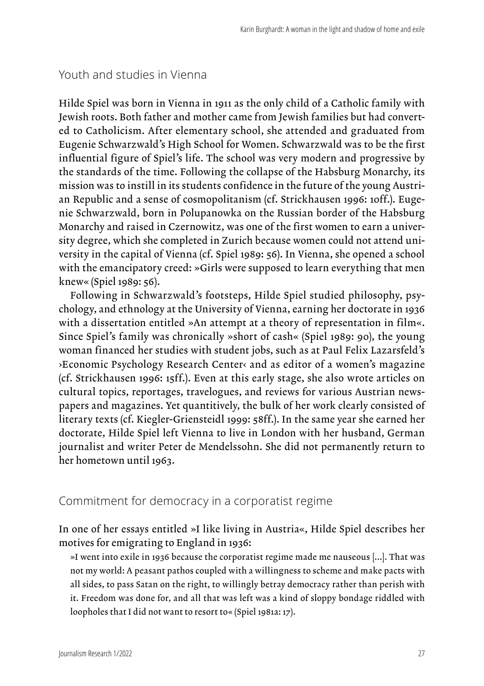#### Youth and studies in Vienna

Hilde Spiel was born in Vienna in 1911 as the only child of a Catholic family with Jewish roots. Both father and mother came from Jewish families but had converted to Catholicism. After elementary school, she attended and graduated from Eugenie Schwarzwald's High School for Women. Schwarzwald was to be the first influential figure of Spiel's life. The school was very modern and progressive by the standards of the time. Following the collapse of the Habsburg Monarchy, its mission was to instill in its students confidence in the future of the young Austrian Republic and a sense of cosmopolitanism (cf. Strickhausen 1996: 10ff.). Eugenie Schwarzwald, born in Polupanowka on the Russian border of the Habsburg Monarchy and raised in Czernowitz, was one of the first women to earn a university degree, which she completed in Zurich because women could not attend university in the capital of Vienna (cf. Spiel 1989: 56). In Vienna, she opened a school with the emancipatory creed: »Girls were supposed to learn everything that men knew« (Spiel 1989: 56).

Following in Schwarzwald's footsteps, Hilde Spiel studied philosophy, psychology, and ethnology at the University of Vienna, earning her doctorate in 1936 with a dissertation entitled »An attempt at a theory of representation in film«. Since Spiel's family was chronically »short of cash« (Spiel 1989: 90), the young woman financed her studies with student jobs, such as at Paul Felix Lazarsfeld's ›Economic Psychology Research Center‹ and as editor of a women's magazine (cf. Strickhausen 1996: 15ff.). Even at this early stage, she also wrote articles on cultural topics, reportages, travelogues, and reviews for various Austrian newspapers and magazines. Yet quantitively, the bulk of her work clearly consisted of literary texts (cf. Kiegler-Griensteidl 1999: 58ff.). In the same year she earned her doctorate, Hilde Spiel left Vienna to live in London with her husband, German journalist and writer Peter de Mendelssohn. She did not permanently return to her hometown until 1963.

### Commitment for democracy in a corporatist regime

In one of her essays entitled »I like living in Austria«, Hilde Spiel describes her motives for emigrating to England in 1936:

»I went into exile in 1936 because the corporatist regime made me nauseous [...]. That was not my world: A peasant pathos coupled with a willingness to scheme and make pacts with all sides, to pass Satan on the right, to willingly betray democracy rather than perish with it. Freedom was done for, and all that was left was a kind of sloppy bondage riddled with loopholes that I did not want to resort to« (Spiel 1981a: 17).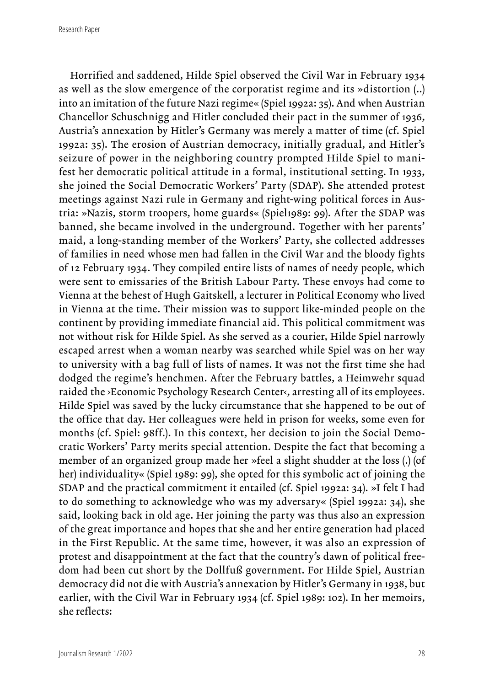Research Paper

Horrified and saddened, Hilde Spiel observed the Civil War in February 1934 as well as the slow emergence of the corporatist regime and its »distortion (..) into an imitation of the future Nazi regime« (Spiel 1992a: 35). And when Austrian Chancellor Schuschnigg and Hitler concluded their pact in the summer of 1936, Austria's annexation by Hitler's Germany was merely a matter of time (cf. Spiel 1992a: 35). The erosion of Austrian democracy, initially gradual, and Hitler's seizure of power in the neighboring country prompted Hilde Spiel to manifest her democratic political attitude in a formal, institutional setting. In 1933, she joined the Social Democratic Workers' Party (SDAP). She attended protest meetings against Nazi rule in Germany and right-wing political forces in Austria: »Nazis, storm troopers, home guards« (Spiel1989: 99). After the SDAP was banned, she became involved in the underground. Together with her parents' maid, a long-standing member of the Workers' Party, she collected addresses of families in need whose men had fallen in the Civil War and the bloody fights of 12 February 1934. They compiled entire lists of names of needy people, which were sent to emissaries of the British Labour Party. These envoys had come to Vienna at the behest of Hugh Gaitskell, a lecturer in Political Economy who lived in Vienna at the time. Their mission was to support like-minded people on the continent by providing immediate financial aid. This political commitment was not without risk for Hilde Spiel. As she served as a courier, Hilde Spiel narrowly escaped arrest when a woman nearby was searched while Spiel was on her way to university with a bag full of lists of names. It was not the first time she had dodged the regime's henchmen. After the February battles, a Heimwehr squad raided the ›Economic Psychology Research Center‹, arresting all of its employees. Hilde Spiel was saved by the lucky circumstance that she happened to be out of the office that day. Her colleagues were held in prison for weeks, some even for months (cf. Spiel: 98ff.). In this context, her decision to join the Social Democratic Workers' Party merits special attention. Despite the fact that becoming a member of an organized group made her »feel a slight shudder at the loss (.) (of her) individuality« (Spiel 1989: 99), she opted for this symbolic act of joining the SDAP and the practical commitment it entailed (cf. Spiel 1992a: 34). »I felt I had to do something to acknowledge who was my adversary« (Spiel 1992a: 34), she said, looking back in old age. Her joining the party was thus also an expression of the great importance and hopes that she and her entire generation had placed in the First Republic. At the same time, however, it was also an expression of protest and disappointment at the fact that the country's dawn of political freedom had been cut short by the Dollfuß government. For Hilde Spiel, Austrian democracy did not die with Austria's annexation by Hitler's Germany in 1938, but earlier, with the Civil War in February 1934 (cf. Spiel 1989: 102). In her memoirs, she reflects: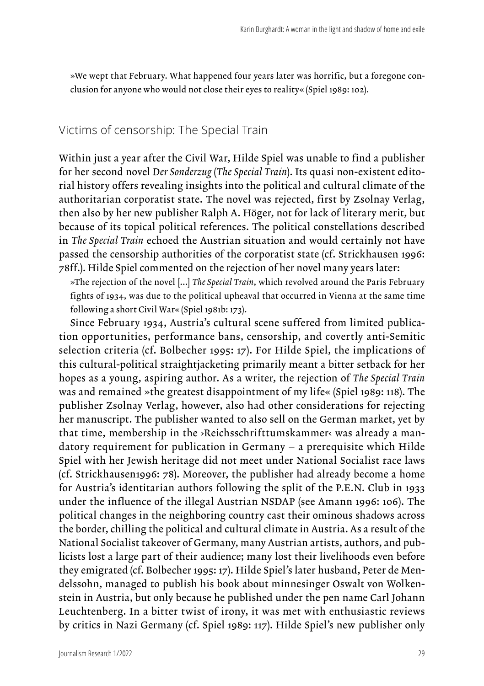»We wept that February. What happened four years later was horrific, but a foregone conclusion for anyone who would not close their eyes to reality« (Spiel 1989: 102).

## Victims of censorship: The Special Train

Within just a year after the Civil War, Hilde Spiel was unable to find a publisher for her second novel *Der Sonderzug* (*The Special Train*). Its quasi non-existent editorial history offers revealing insights into the political and cultural climate of the authoritarian corporatist state. The novel was rejected, first by Zsolnay Verlag, then also by her new publisher Ralph A. Höger, not for lack of literary merit, but because of its topical political references. The political constellations described in *The Special Train* echoed the Austrian situation and would certainly not have passed the censorship authorities of the corporatist state (cf. Strickhausen 1996: 78ff.). Hilde Spiel commented on the rejection of her novel many years later:

»The rejection of the novel [...] *The Special Train*, which revolved around the Paris February fights of 1934, was due to the political upheaval that occurred in Vienna at the same time following a short Civil War« (Spiel 1981b: 173).

Since February 1934, Austria's cultural scene suffered from limited publication opportunities, performance bans, censorship, and covertly anti-Semitic selection criteria (cf. Bolbecher 1995: 17). For Hilde Spiel, the implications of this cultural-political straightjacketing primarily meant a bitter setback for her hopes as a young, aspiring author. As a writer, the rejection of *The Special Train* was and remained »the greatest disappointment of my life« (Spiel 1989: 118). The publisher Zsolnay Verlag, however, also had other considerations for rejecting her manuscript. The publisher wanted to also sell on the German market, yet by that time, membership in the »Reichsschrifttumskammer« was already a mandatory requirement for publication in Germany – a prerequisite which Hilde Spiel with her Jewish heritage did not meet under National Socialist race laws (cf. Strickhausen1996: 78). Moreover, the publisher had already become a home for Austria's identitarian authors following the split of the P.E.N. Club in 1933 under the influence of the illegal Austrian NSDAP (see Amann 1996: 106). The political changes in the neighboring country cast their ominous shadows across the border, chilling the political and cultural climate in Austria. As a result of the National Socialist takeover of Germany, many Austrian artists, authors, and publicists lost a large part of their audience; many lost their livelihoods even before they emigrated (cf. Bolbecher 1995: 17). Hilde Spiel's later husband, Peter de Mendelssohn, managed to publish his book about minnesinger Oswalt von Wolkenstein in Austria, but only because he published under the pen name Carl Johann Leuchtenberg. In a bitter twist of irony, it was met with enthusiastic reviews by critics in Nazi Germany (cf. Spiel 1989: 117). Hilde Spiel's new publisher only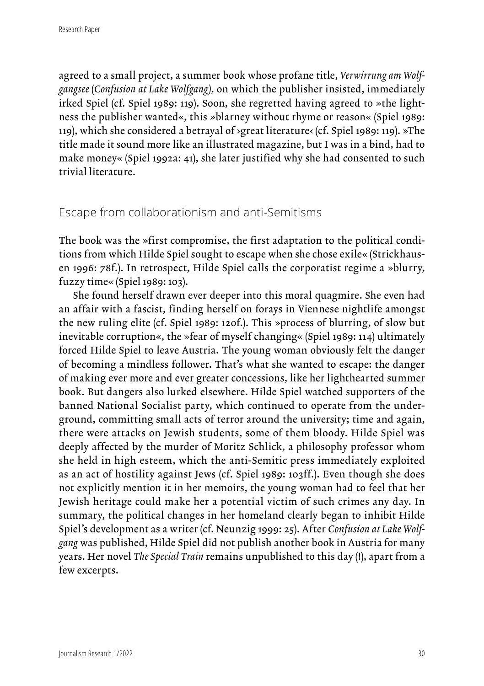agreed to a small project, a summer book whose profane title, *Verwirrung am Wolfgangsee* (*Confusion at Lake Wolfgang)*, on which the publisher insisted, immediately irked Spiel (cf. Spiel 1989: 119). Soon, she regretted having agreed to »the lightness the publisher wanted«, this »blarney without rhyme or reason« (Spiel 1989: 119), which she considered a betrayal of  $\gamma$ great literature $\langle$  (cf. Spiel 1989: 119). »The title made it sound more like an illustrated magazine, but I was in a bind, had to make money« (Spiel 1992a: 41), she later justified why she had consented to such trivial literature.

### Escape from collaborationism and anti-Semitisms

The book was the »first compromise, the first adaptation to the political conditions from which Hilde Spiel sought to escape when she chose exile« (Strickhausen 1996: 78f.). In retrospect, Hilde Spiel calls the corporatist regime a »blurry, fuzzy time« (Spiel 1989: 103).

 She found herself drawn ever deeper into this moral quagmire. She even had an affair with a fascist, finding herself on forays in Viennese nightlife amongst the new ruling elite (cf. Spiel 1989: 120f.). This »process of blurring, of slow but inevitable corruption«, the »fear of myself changing« (Spiel 1989: 114) ultimately forced Hilde Spiel to leave Austria. The young woman obviously felt the danger of becoming a mindless follower. That's what she wanted to escape: the danger of making ever more and ever greater concessions, like her lighthearted summer book. But dangers also lurked elsewhere. Hilde Spiel watched supporters of the banned National Socialist party, which continued to operate from the underground, committing small acts of terror around the university; time and again, there were attacks on Jewish students, some of them bloody. Hilde Spiel was deeply affected by the murder of Moritz Schlick, a philosophy professor whom she held in high esteem, which the anti-Semitic press immediately exploited as an act of hostility against Jews (cf. Spiel 1989: 103ff.). Even though she does not explicitly mention it in her memoirs, the young woman had to feel that her Jewish heritage could make her a potential victim of such crimes any day. In summary, the political changes in her homeland clearly began to inhibit Hilde Spiel's development as a writer (cf. Neunzig 1999: 25). After *Confusion at Lake Wolfgang* was published, Hilde Spiel did not publish another book in Austria for many years. Her novel *The Special Train* remains unpublished to this day (!), apart from a few excerpts.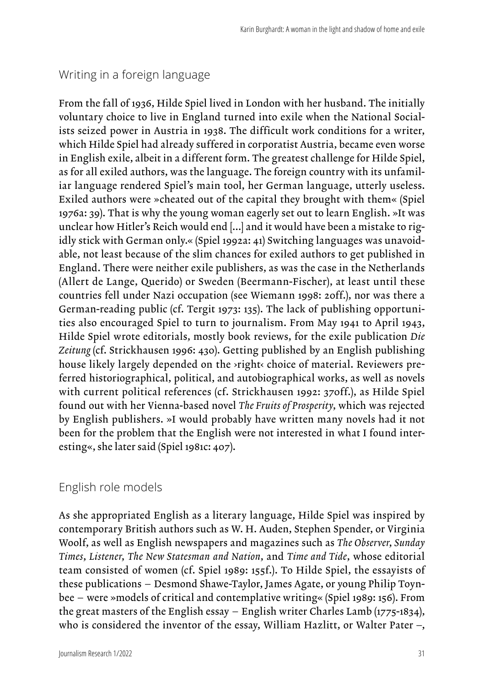## Writing in a foreign language

From the fall of 1936, Hilde Spiel lived in London with her husband. The initially voluntary choice to live in England turned into exile when the National Socialists seized power in Austria in 1938. The difficult work conditions for a writer, which Hilde Spiel had already suffered in corporatist Austria, became even worse in English exile, albeit in a different form. The greatest challenge for Hilde Spiel, as for all exiled authors, was the language. The foreign country with its unfamiliar language rendered Spiel's main tool, her German language, utterly useless. Exiled authors were »cheated out of the capital they brought with them« (Spiel 1976a: 39). That is why the young woman eagerly set out to learn English. »It was unclear how Hitler's Reich would end [...] and it would have been a mistake to rigidly stick with German only.« (Spiel 1992a: 41) Switching languages was unavoidable, not least because of the slim chances for exiled authors to get published in England. There were neither exile publishers, as was the case in the Netherlands (Allert de Lange, Querido) or Sweden (Beermann-Fischer), at least until these countries fell under Nazi occupation (see Wiemann 1998: 20ff.), nor was there a German-reading public (cf. Tergit 1973: 135). The lack of publishing opportunities also encouraged Spiel to turn to journalism. From May 1941 to April 1943, Hilde Spiel wrote editorials, mostly book reviews, for the exile publication *Die Zeitung* (cf. Strickhausen 1996: 430). Getting published by an English publishing house likely largely depended on the *>right* choice of material. Reviewers preferred historiographical, political, and autobiographical works, as well as novels with current political references (cf. Strickhausen 1992: 370ff.), as Hilde Spiel found out with her Vienna-based novel *The Fruits of Prosperity*, which was rejected by English publishers. »I would probably have written many novels had it not been for the problem that the English were not interested in what I found interesting«, she later said (Spiel 1981c: 407).

## English role models

As she appropriated English as a literary language, Hilde Spiel was inspired by contemporary British authors such as W. H. Auden, Stephen Spender, or Virginia Woolf, as well as English newspapers and magazines such as *The Observer*, *Sunday Times*, *Listener*, *The New Statesman and Nation*, and *Time and Tide*, whose editorial team consisted of women (cf. Spiel 1989: 155f.). To Hilde Spiel, the essayists of these publications – Desmond Shawe-Taylor, James Agate, or young Philip Toynbee – were »models of critical and contemplative writing« (Spiel 1989: 156). From the great masters of the English essay – English writer Charles Lamb (1775-1834), who is considered the inventor of the essay, William Hazlitt, or Walter Pater -,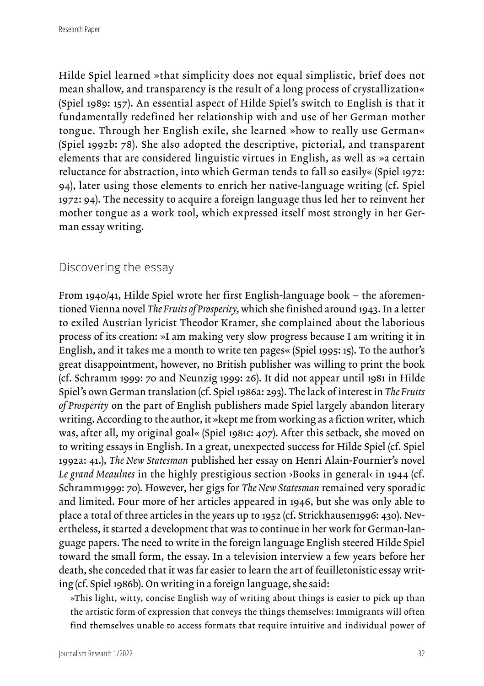Hilde Spiel learned »that simplicity does not equal simplistic, brief does not mean shallow, and transparency is the result of a long process of crystallization« (Spiel 1989: 157). An essential aspect of Hilde Spiel's switch to English is that it fundamentally redefined her relationship with and use of her German mother tongue. Through her English exile, she learned »how to really use German« (Spiel 1992b: 78). She also adopted the descriptive, pictorial, and transparent elements that are considered linguistic virtues in English, as well as »a certain reluctance for abstraction, into which German tends to fall so easily« (Spiel 1972: 94), later using those elements to enrich her native-language writing (cf. Spiel 1972: 94). The necessity to acquire a foreign language thus led her to reinvent her mother tongue as a work tool, which expressed itself most strongly in her German essay writing.

## Discovering the essay

From 1940/41, Hilde Spiel wrote her first English-language book – the aforementioned Vienna novel *The Fruits of Prosperity*, which she finished around 1943. In a letter to exiled Austrian lyricist Theodor Kramer, she complained about the laborious process of its creation: »I am making very slow progress because I am writing it in English, and it takes me a month to write ten pages« (Spiel 1995: 15). To the author's great disappointment, however, no British publisher was willing to print the book (cf. Schramm 1999: 70 and Neunzig 1999: 26). It did not appear until 1981 in Hilde Spiel's own German translation (cf. Spiel 1986a: 293). The lack of interest in *The Fruits of Prosperity* on the part of English publishers made Spiel largely abandon literary writing. According to the author, it »kept me from working as a fiction writer, which was, after all, my original goal« (Spiel 1981c: 407). After this setback, she moved on to writing essays in English. In a great, unexpected success for Hilde Spiel (cf. Spiel 1992a: 41.), *The New Statesman* published her essay on Henri Alain-Fournier's novel *Le grand Meaulnes* in the highly prestigious section ›Books in general‹ in 1944 (cf. Schramm1999: 70). However, her gigs for *The New Statesman* remained very sporadic and limited. Four more of her articles appeared in 1946, but she was only able to place a total of three articles in the years up to 1952 (cf. Strickhausen1996: 430). Nevertheless, it started a development that was to continue in her work for German-language papers. The need to write in the foreign language English steered Hilde Spiel toward the small form, the essay. In a television interview a few years before her death, she conceded that it was far easier to learn the art of feuilletonistic essay writing (cf. Spiel 1986b). On writing in a foreign language, she said:

»This light, witty, concise English way of writing about things is easier to pick up than the artistic form of expression that conveys the things themselves: Immigrants will often find themselves unable to access formats that require intuitive and individual power of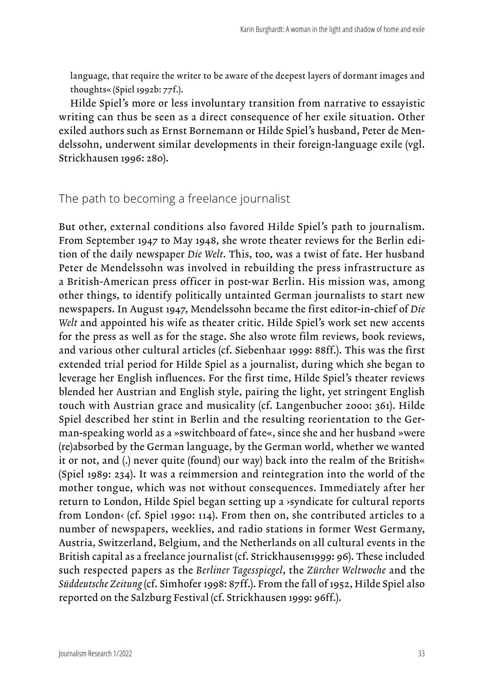language, that require the writer to be aware of the deepest layers of dormant images and thoughts« (Spiel 1992b: 77f.).

Hilde Spiel's more or less involuntary transition from narrative to essayistic writing can thus be seen as a direct consequence of her exile situation. Other exiled authors such as Ernst Bornemann or Hilde Spiel's husband, Peter de Mendelssohn, underwent similar developments in their foreign-language exile (vgl. Strickhausen 1996: 280).

#### The path to becoming a freelance journalist

But other, external conditions also favored Hilde Spiel's path to journalism. From September 1947 to May 1948, she wrote theater reviews for the Berlin edition of the daily newspaper *Die Welt*. This, too, was a twist of fate. Her husband Peter de Mendelssohn was involved in rebuilding the press infrastructure as a British-American press officer in post-war Berlin. His mission was, among other things, to identify politically untainted German journalists to start new newspapers. In August 1947, Mendelssohn became the first editor-in-chief of *Die Welt* and appointed his wife as theater critic. Hilde Spiel's work set new accents for the press as well as for the stage. She also wrote film reviews, book reviews, and various other cultural articles (cf. Siebenhaar 1999: 88ff.). This was the first extended trial period for Hilde Spiel as a journalist, during which she began to leverage her English influences. For the first time, Hilde Spiel's theater reviews blended her Austrian and English style, pairing the light, yet stringent English touch with Austrian grace and musicality (cf. Langenbucher 2000: 361). Hilde Spiel described her stint in Berlin and the resulting reorientation to the German-speaking world as a »switchboard of fate«, since she and her husband »were (re)absorbed by the German language, by the German world, whether we wanted it or not, and (.) never quite (found) our way) back into the realm of the British« (Spiel 1989: 234). It was a reimmersion and reintegration into the world of the mother tongue, which was not without consequences. Immediately after her return to London, Hilde Spiel began setting up a ›syndicate for cultural reports from London< (cf. Spiel 1990: 114). From then on, she contributed articles to a number of newspapers, weeklies, and radio stations in former West Germany, Austria, Switzerland, Belgium, and the Netherlands on all cultural events in the British capital as a freelance journalist (cf. Strickhausen1999: 96). These included such respected papers as the *Berliner Tagesspiegel*, the *Zürcher Weltwoche* and the *Süddeutsche Zeitung* (cf. Simhofer 1998: 87ff.). From the fall of 1952, Hilde Spiel also reported on the Salzburg Festival (cf. Strickhausen 1999: 96ff.).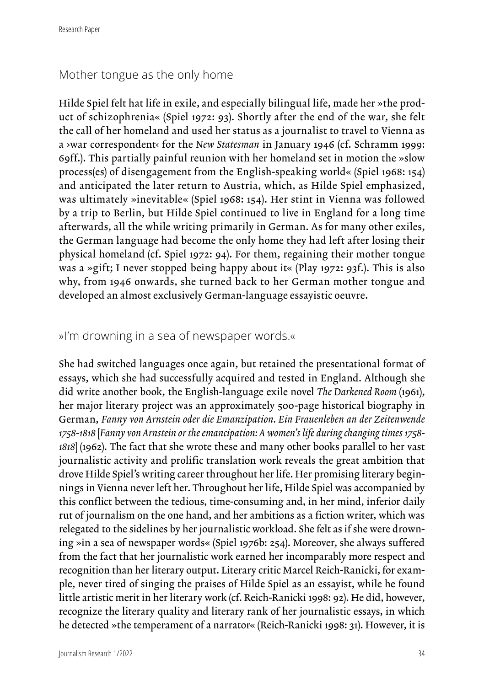## Mother tongue as the only home

Hilde Spiel felt hat life in exile, and especially bilingual life, made her »the product of schizophrenia« (Spiel 1972: 93). Shortly after the end of the war, she felt the call of her homeland and used her status as a journalist to travel to Vienna as a ›war correspondent‹ for the *New Statesman* in January 1946 (cf. Schramm 1999: 69ff.). This partially painful reunion with her homeland set in motion the »slow process(es) of disengagement from the English-speaking world« (Spiel 1968: 154) and anticipated the later return to Austria, which, as Hilde Spiel emphasized, was ultimately »inevitable« (Spiel 1968: 154). Her stint in Vienna was followed by a trip to Berlin, but Hilde Spiel continued to live in England for a long time afterwards, all the while writing primarily in German. As for many other exiles, the German language had become the only home they had left after losing their physical homeland (cf. Spiel 1972: 94). For them, regaining their mother tongue was a »gift; I never stopped being happy about it« (Play 1972: 93f.). This is also why, from 1946 onwards, she turned back to her German mother tongue and developed an almost exclusively German-language essayistic oeuvre.

#### »I'm drowning in a sea of newspaper words.«

She had switched languages once again, but retained the presentational format of essays, which she had successfully acquired and tested in England. Although she did write another book, the English-language exile novel *The Darkened Room* (1961), her major literary project was an approximately 500-page historical biography in German, *Fanny von Arnstein oder die Emanzipation. Ein Frauenleben an der Zeitenwende 1758-1818* [*Fanny von Arnstein or the emancipation: A women's life during changing times 1758- 1818*] (1962). The fact that she wrote these and many other books parallel to her vast journalistic activity and prolific translation work reveals the great ambition that drove Hilde Spiel's writing career throughout her life. Her promising literary beginnings in Vienna never left her. Throughout her life, Hilde Spiel was accompanied by this conflict between the tedious, time-consuming and, in her mind, inferior daily rut of journalism on the one hand, and her ambitions as a fiction writer, which was relegated to the sidelines by her journalistic workload. She felt as if she were drowning »in a sea of newspaper words« (Spiel 1976b: 254). Moreover, she always suffered from the fact that her journalistic work earned her incomparably more respect and recognition than her literary output. Literary critic Marcel Reich-Ranicki, for example, never tired of singing the praises of Hilde Spiel as an essayist, while he found little artistic merit in her literary work (cf. Reich-Ranicki 1998: 92). He did, however, recognize the literary quality and literary rank of her journalistic essays, in which he detected »the temperament of a narrator« (Reich-Ranicki 1998: 31). However, it is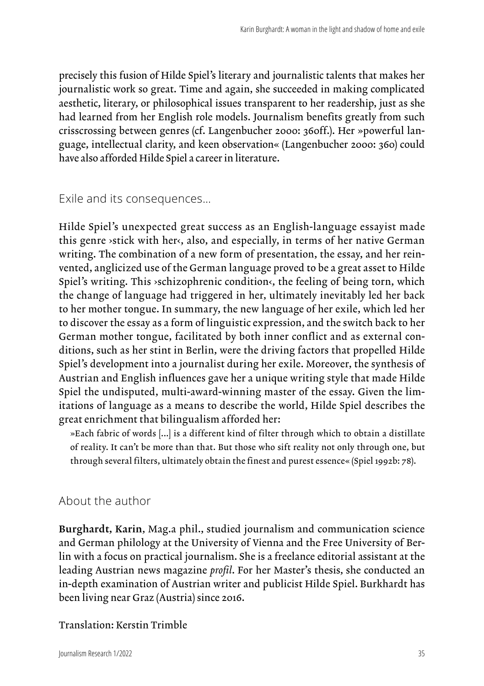precisely this fusion of Hilde Spiel's literary and journalistic talents that makes her journalistic work so great. Time and again, she succeeded in making complicated aesthetic, literary, or philosophical issues transparent to her readership, just as she had learned from her English role models. Journalism benefits greatly from such crisscrossing between genres (cf. Langenbucher 2000: 360ff.). Her »powerful language, intellectual clarity, and keen observation« (Langenbucher 2000: 360) could have also afforded Hilde Spiel a career in literature.

Exile and its consequences...

Hilde Spiel's unexpected great success as an English-language essayist made this genre >stick with her<, also, and especially, in terms of her native German writing. The combination of a new form of presentation, the essay, and her reinvented, anglicized use of the German language proved to be a great asset to Hilde Spiel's writing. This >schizophrenic condition<, the feeling of being torn, which the change of language had triggered in her, ultimately inevitably led her back to her mother tongue. In summary, the new language of her exile, which led her to discover the essay as a form of linguistic expression, and the switch back to her German mother tongue, facilitated by both inner conflict and as external conditions, such as her stint in Berlin, were the driving factors that propelled Hilde Spiel's development into a journalist during her exile. Moreover, the synthesis of Austrian and English influences gave her a unique writing style that made Hilde Spiel the undisputed, multi-award-winning master of the essay. Given the limitations of language as a means to describe the world, Hilde Spiel describes the great enrichment that bilingualism afforded her:

»Each fabric of words [...] is a different kind of filter through which to obtain a distillate of reality. It can't be more than that. But those who sift reality not only through one, but through several filters, ultimately obtain the finest and purest essence« (Spiel 1992b: 78).

## About the author

Burghardt, Karin, Mag.a phil., studied journalism and communication science and German philology at the University of Vienna and the Free University of Berlin with a focus on practical journalism. She is a freelance editorial assistant at the leading Austrian news magazine *profil*. For her Master's thesis, she conducted an in-depth examination of Austrian writer and publicist Hilde Spiel. Burkhardt has been living near Graz (Austria) since 2016.

#### Translation: Kerstin Trimble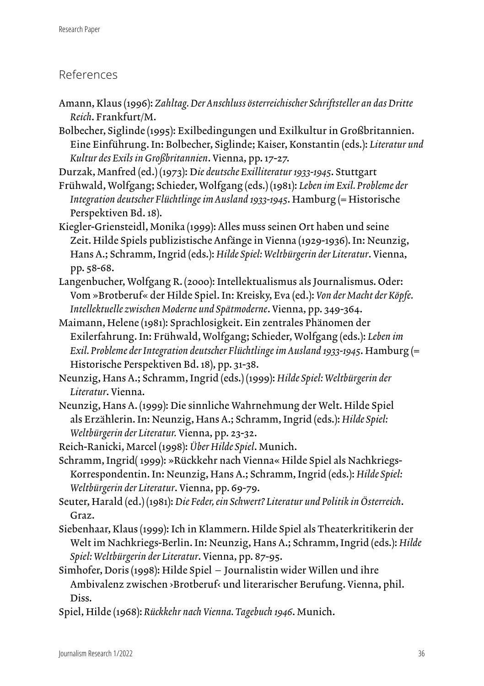## References

- Amann, Klaus (1996): *Zahltag. Der Anschluss österreichischer Schriftsteller an das Dritte Reich*. Frankfurt/M.
- Bolbecher, Siglinde (1995): Exilbedingungen und Exilkultur in Großbritannien. Eine Einführung. In: Bolbecher, Siglinde; Kaiser, Konstantin (eds.): *Literatur und Kultur des Exils in Großbritannien*. Vienna, pp. 17-27.
- Durzak, Manfred (ed.) (1973): D*ie deutsche Exilliteratur 1933-1945*. Stuttgart
- Frühwald, Wolfgang; Schieder, Wolfgang (eds.) (1981): *Leben im Exil. Probleme der Integration deutscher Flüchtlinge im Ausland 1933-1945*. Hamburg (= Historische Perspektiven Bd. 18).
- Kiegler-Griensteidl, Monika (1999): Alles muss seinen Ort haben und seine Zeit. Hilde Spiels publizistische Anfänge in Vienna (1929-1936). In: Neunzig, Hans A.; Schramm, Ingrid (eds.): *Hilde Spiel: Weltbürgerin der Literatur*. Vienna, pp. 58-68.
- Langenbucher, Wolfgang R. (2000): Intellektualismus als Journalismus. Oder: Vom »Brotberuf« der Hilde Spiel. In: Kreisky, Eva (ed.): *Von der Macht der Köpfe. Intellektuelle zwischen Moderne und Spätmoderne*. Vienna, pp. 349-364.
- Maimann, Helene (1981): Sprachlosigkeit. Ein zentrales Phänomen der Exilerfahrung. In: Frühwald, Wolfgang; Schieder, Wolfgang (eds.): *Leben im Exil. Probleme der Integration deutscher Flüchtlinge im Ausland 1933-1945*. Hamburg (= Historische Perspektiven Bd. 18), pp. 31-38.
- Neunzig, Hans A.; Schramm, Ingrid (eds.) (1999): *Hilde Spiel: Weltbürgerin der Literatur*. Vienna.
- Neunzig, Hans A. (1999): Die sinnliche Wahrnehmung der Welt. Hilde Spiel als Erzählerin. In: Neunzig, Hans A.; Schramm, Ingrid (eds.): *Hilde Spiel: Weltbürgerin der Literatur.* Vienna, pp. 23-32.
- Reich-Ranicki, Marcel (1998): *Über Hilde Spiel*. Munich.
- Schramm, Ingrid( 1999): »Rückkehr nach Vienna« Hilde Spiel als Nachkriegs-Korrespondentin. In: Neunzig, Hans A.; Schramm, Ingrid (eds.): *Hilde Spiel: Weltbürgerin der Literatur*. Vienna, pp. 69-79.
- Seuter, Harald (ed.) (1981): *Die Feder, ein Schwert? Literatur und Politik in Österreich*. Graz.
- Siebenhaar, Klaus (1999): Ich in Klammern. Hilde Spiel als Theaterkritikerin der Welt im Nachkriegs-Berlin. In: Neunzig, Hans A.; Schramm, Ingrid (eds.): *Hilde Spiel: Weltbürgerin der Literatur*. Vienna, pp. 87-95.
- Simhofer, Doris (1998): Hilde Spiel Journalistin wider Willen und ihre Ambivalenz zwischen ›Brotberuf‹ und literarischer Berufung. Vienna, phil. Diss.
- Spiel, Hilde (1968): *Rückkehr nach Vienna. Tagebuch 1946*. Munich.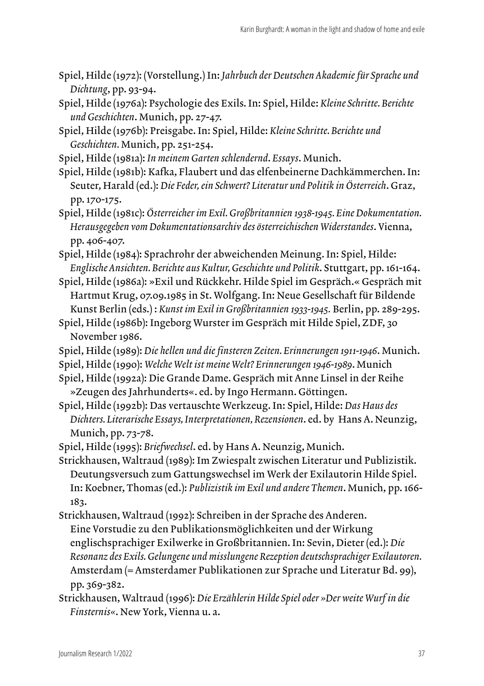- Spiel, Hilde (1972): (Vorstellung.) In: *Jahrbuch der Deutschen Akademie für Sprache und Dichtung*, pp. 93-94.
- Spiel, Hilde (1976a): Psychologie des Exils. In: Spiel, Hilde: *Kleine Schritte. Berichte und Geschichten*. Munich, pp. 27-47.
- Spiel, Hilde (1976b): Preisgabe. In: Spiel, Hilde: *Kleine Schritte. Berichte und Geschichten.* Munich, pp. 251-254.
- Spiel, Hilde (1981a): *In meinem Garten schlendernd*. *Essays*. Munich.
- Spiel, Hilde (1981b): Kafka, Flaubert und das elfenbeinerne Dachkämmerchen. In: Seuter, Harald (ed.): *Die Feder, ein Schwert? Literatur und Politik in Österreich*. Graz, pp. 170-175.
- Spiel, Hilde (1981c): *Österreicher im Exil. Großbritannien 1938-1945. Eine Dokumentation. Herausgegeben vom Dokumentationsarchiv des österreichischen Widerstandes*. Vienna, pp. 406-407.
- Spiel, Hilde (1984): Sprachrohr der abweichenden Meinung. In: Spiel, Hilde: *Englische Ansichten. Berichte aus Kultur, Geschichte und Politik*. Stuttgart, pp. 161-164.
- Spiel, Hilde (1986a): »Exil und Rückkehr. Hilde Spiel im Gespräch.« Gespräch mit Hartmut Krug, 07.09.1985 in St. Wolfgang. In: Neue Gesellschaft für Bildende Kunst Berlin (eds.) : *Kunst im Exil in Großbritannien 1933-1945.* Berlin, pp. 289-295.
- Spiel, Hilde (1986b): Ingeborg Wurster im Gespräch mit Hilde Spiel, ZDF, 30 November 1986.
- Spiel, Hilde (1989): *Die hellen und die finsteren Zeiten. Erinnerungen 1911-1946*. Munich.
- Spiel, Hilde (1990): *Welche Welt ist meine Welt? Erinnerungen 1946-1989*. Munich
- Spiel, Hilde (1992a): Die Grande Dame. Gespräch mit Anne Linsel in der Reihe »Zeugen des Jahrhunderts«. ed. by Ingo Hermann. Göttingen.
- Spiel, Hilde (1992b): Das vertauschte Werkzeug. In: Spiel, Hilde: *Das Haus des Dichters. Literarische Essays, Interpretationen, Rezensionen*. ed. by Hans A. Neunzig, Munich, pp. 73-78.
- Spiel, Hilde (1995): *Briefwechsel*. ed. by Hans A. Neunzig, Munich.
- Strickhausen, Waltraud (1989): Im Zwiespalt zwischen Literatur und Publizistik. Deutungsversuch zum Gattungswechsel im Werk der Exilautorin Hilde Spiel. In: Koebner, Thomas (ed.): *Publizistik im Exil und andere Themen*. Munich, pp. 166- 183.
- Strickhausen, Waltraud (1992): Schreiben in der Sprache des Anderen. Eine Vorstudie zu den Publikationsmöglichkeiten und der Wirkung englischsprachiger Exilwerke in Großbritannien. In: Sevin, Dieter (ed.): *Die Resonanz des Exils. Gelungene und misslungene Rezeption deutschsprachiger Exilautoren.* Amsterdam (= Amsterdamer Publikationen zur Sprache und Literatur Bd. 99), pp. 369-382.
- Strickhausen, Waltraud (1996): *Die Erzählerin Hilde Spiel oder »Der weite Wurf in die Finsternis«*. New York, Vienna u. a.